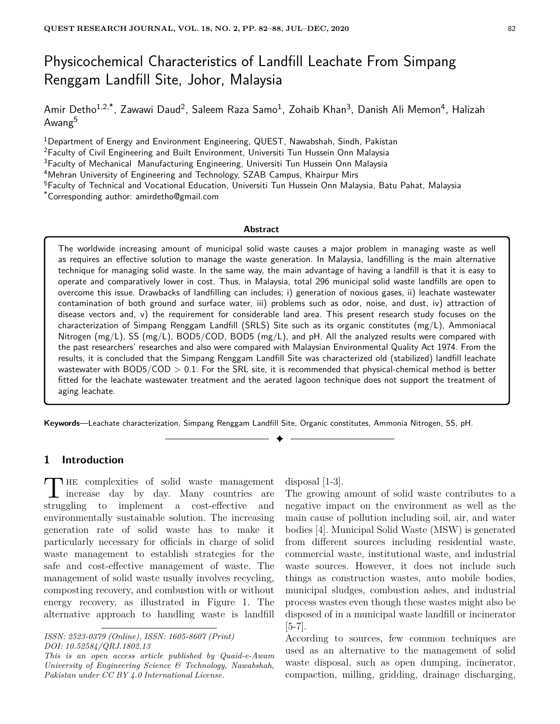# Physicochemical Characteristics of Landfill Leachate From Simpang Renggam Landfill Site, Johor, Malaysia

Amir Detho<sup>1,2,\*</sup>, Zawawi Daud<sup>2</sup>, Saleem Raza Samo<sup>1</sup>, Zohaib Khan<sup>3</sup>, Danish Ali Memon<sup>4</sup>, Halizah Awang<sup>5</sup>

Department of Energy and Environment Engineering, QUEST, Nawabshah, Sindh, Pakistan <sup>2</sup>Faculty of Civil Engineering and Built Environment, Universiti Tun Hussein Onn Malaysia Faculty of Mechanical Manufacturing Engineering, Universiti Tun Hussein Onn Malaysia Mehran University of Engineering and Technology, SZAB Campus, Khairpur Mirs Faculty of Technical and Vocational Education, Universiti Tun Hussein Onn Malaysia, Batu Pahat, Malaysia \*Corresponding author: amirdetho@gmail.com

#### **Abstract**

The worldwide increasing amount of municipal solid waste causes a major problem in managing waste as well as requires an effective solution to manage the waste generation. In Malaysia, landfilling is the main alternative technique for managing solid waste. In the same way, the main advantage of having a landfill is that it is easy to operate and comparatively lower in cost. Thus, in Malaysia, total 296 municipal solid waste landfills are open to overcome this issue. Drawbacks of landfilling can includes; i) generation of noxious gases, ii) leachate wastewater contamination of both ground and surface water, iii) problems such as odor, noise, and dust, iv) attraction of disease vectors and, v) the requirement for considerable land area. This present research study focuses on the characterization of Simpang Renggam Landfill (SRLS) Site such as its organic constitutes (mg/L), Ammoniacal Nitrogen (mg/L), SS (mg/L), BOD5/COD, BOD5 (mg/L), and pH. All the analyzed results were compared with the past researchers' researches and also were compared with Malaysian Environmental Quality Act 1974. From the results, it is concluded that the Simpang Renggam Landfill Site was characterized old (stabilized) landfill leachate wastewater with BOD5/COD *>* 0.1. For the SRL site, it is recommended that physical-chemical method is better fitted for the leachate wastewater treatment and the aerated lagoon technique does not support the treatment of aging leachate.

**Keywords**—Leachate characterization, Simpang Renggam Landfill Site, Organic constitutes, Ammonia Nitrogen, SS, pH.

✦

# **1 Introduction**

THE complexities of solid waste management<br>increase day by day. Many countries are **HE** complexities of solid waste management struggling to implement a cost-effective and environmentally sustainable solution. The increasing generation rate of solid waste has to make it particularly necessary for officials in charge of solid waste management to establish strategies for the safe and cost-effective management of waste. The management of solid waste usually involves recycling, composting recovery, and combustion with or without energy recovery, as illustrated in Figure 1. The alternative approach to handling waste is landfill

disposal [1-3].

The growing amount of solid waste contributes to a negative impact on the environment as well as the main cause of pollution including soil, air, and water bodies [4]. Municipal Solid Waste (MSW) is generated from different sources including residential waste, commercial waste, institutional waste, and industrial waste sources. However, it does not include such things as construction wastes, auto mobile bodies, municipal sludges, combustion ashes, and industrial process wastes even though these wastes might also be disposed of in a municipal waste landfill or incinerator [5-7].

According to sources, few common techniques are used as an alternative to the management of solid waste disposal, such as open dumping, incinerator, compaction, milling, gridding, drainage discharging,

*ISSN: 2523-0379 (Online), ISSN: 1605-8607 (Print) DOI: 10.52584/QRJ.1802.13*

*This is an open access article published by Quaid-e-Awam University of Engineering Science & Technology, Nawabshah, Pakistan under CC BY 4.0 International License.*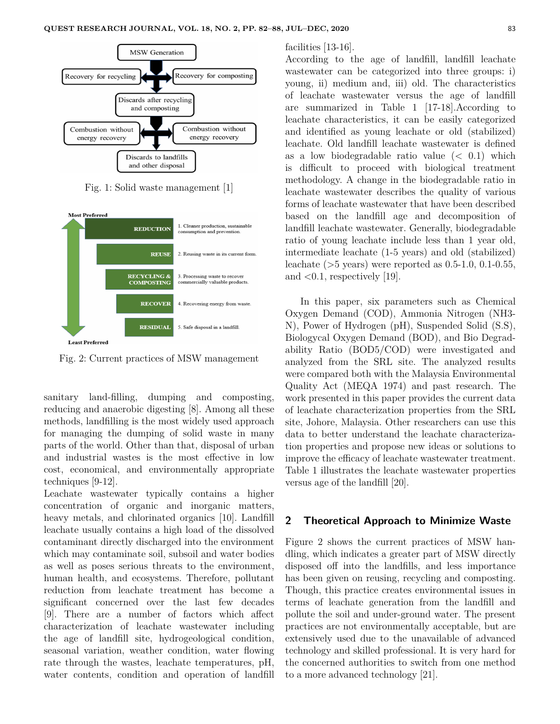

Fig. 1: Solid waste management [1]



Fig. 2: Current practices of MSW management

sanitary land-filling, dumping and composting, reducing and anaerobic digesting [8]. Among all these methods, landfilling is the most widely used approach for managing the dumping of solid waste in many parts of the world. Other than that, disposal of urban and industrial wastes is the most effective in low cost, economical, and environmentally appropriate techniques [9-12].

Leachate wastewater typically contains a higher concentration of organic and inorganic matters, heavy metals, and chlorinated organics [10]. Landfill leachate usually contains a high load of the dissolved contaminant directly discharged into the environment which may contaminate soil, subsoil and water bodies as well as poses serious threats to the environment, human health, and ecosystems. Therefore, pollutant reduction from leachate treatment has become a significant concerned over the last few decades [9]. There are a number of factors which affect characterization of leachate wastewater including the age of landfill site, hydrogeological condition, seasonal variation, weather condition, water flowing rate through the wastes, leachate temperatures, pH, water contents, condition and operation of landfill facilities [13-16].

According to the age of landfill, landfill leachate wastewater can be categorized into three groups: i) young, ii) medium and, iii) old. The characteristics of leachate wastewater versus the age of landfill are summarized in Table 1 [17-18].According to leachate characteristics, it can be easily categorized and identified as young leachate or old (stabilized) leachate. Old landfill leachate wastewater is defined as a low biodegradable ratio value (*<* 0.1) which is difficult to proceed with biological treatment methodology. A change in the biodegradable ratio in leachate wastewater describes the quality of various forms of leachate wastewater that have been described based on the landfill age and decomposition of landfill leachate wastewater. Generally, biodegradable ratio of young leachate include less than 1 year old, intermediate leachate (1-5 years) and old (stabilized) leachate (*>*5 years) were reported as 0.5-1.0, 0.1-0.55, and *<*0.1, respectively [19].

In this paper, six parameters such as Chemical Oxygen Demand (COD), Ammonia Nitrogen (NH3- N), Power of Hydrogen (pH), Suspended Solid (S.S), Biologycal Oxygen Demand (BOD), and Bio Degradability Ratio (BOD5/COD) were investigated and analyzed from the SRL site. The analyzed results were compared both with the Malaysia Environmental Quality Act (MEQA 1974) and past research. The work presented in this paper provides the current data of leachate characterization properties from the SRL site, Johore, Malaysia. Other researchers can use this data to better understand the leachate characterization properties and propose new ideas or solutions to improve the efficacy of leachate wastewater treatment. Table 1 illustrates the leachate wastewater properties versus age of the landfill [20].

#### **2 Theoretical Approach to Minimize Waste**

Figure 2 shows the current practices of MSW handling, which indicates a greater part of MSW directly disposed off into the landfills, and less importance has been given on reusing, recycling and composting. Though, this practice creates environmental issues in terms of leachate generation from the landfill and pollute the soil and under-ground water. The present practices are not environmentally acceptable, but are extensively used due to the unavailable of advanced technology and skilled professional. It is very hard for the concerned authorities to switch from one method to a more advanced technology [21].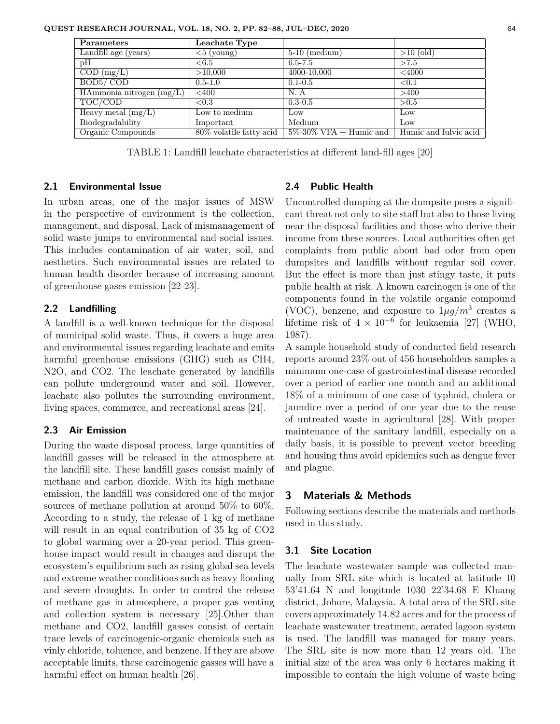**QUEST RESEARCH JOURNAL, VOL. 18, NO. 2, PP. 82–88, JUL–DEC, 2020** 84

TABLE 1: Landfill leachate characteristics at different land-fill ages [20]

## **2.1 Environmental Issue**

In urban areas, one of the major issues of MSW in the perspective of environment is the collection, management, and disposal. Lack of mismanagement of solid waste jumps to environmental and social issues. This includes contamination of air water, soil, and aesthetics. Such environmental issues are related to human health disorder because of increasing amount of greenhouse gases emission [22-23].

## **2.2 Landfilling**

A landfill is a well-known technique for the disposal of municipal solid waste. Thus, it covers a huge area and environmental issues regarding leachate and emits harmful greenhouse emissions (GHG) such as CH4, N2O, and CO2. The leachate generated by landfills can pollute underground water and soil. However, leachate also pollutes the surrounding environment, living spaces, commerce, and recreational areas [24].

## **2.3 Air Emission**

During the waste disposal process, large quantities of landfill gasses will be released in the atmosphere at the landfill site. These landfill gases consist mainly of methane and carbon dioxide. With its high methane emission, the landfill was considered one of the major sources of methane pollution at around 50% to 60%. According to a study, the release of 1 kg of methane will result in an equal contribution of 35 kg of CO2 to global warming over a 20-year period. This greenhouse impact would result in changes and disrupt the ecosystem's equilibrium such as rising global sea levels and extreme weather conditions such as heavy flooding and severe droughts. In order to control the release of methane gas in atmosphere, a proper gas venting and collection system is necessary [25].Other than methane and CO2, landfill gasses consist of certain trace levels of carcinogenic-organic chemicals such as vinly chloride, toluence, and benzene. If they are above acceptable limits, these carcinogenic gasses will have a harmful effect on human health [26].

# **2.4 Public Health**

Uncontrolled dumping at the dumpsite poses a significant threat not only to site staff but also to those living near the disposal facilities and those who derive their income from these sources. Local authorities often get complaints from public about bad odor from open dumpsites and landfills without regular soil cover. But the effect is more than just stingy taste, it puts public health at risk. A known carcinogen is one of the components found in the volatile organic compound (VOC), benzene, and exposure to  $1\mu g/m^3$  creates a lifetime risk of  $4 \times 10^{-6}$  for leukaemia [27] (WHO, 1987).

A sample household study of conducted field research reports around 23% out of 456 householders samples a minimum one-case of gastrointestinal disease recorded over a period of earlier one month and an additional 18% of a minimum of one case of typhoid, cholera or jaundice over a period of one year due to the reuse of untreated waste in agricultural [28]. With proper maintenance of the sanitary landfill, especially on a daily basis, it is possible to prevent vector breeding and housing thus avoid epidemics such as dengue fever and plague.

# **3 Materials & Methods**

Following sections describe the materials and methods used in this study.

# **3.1 Site Location**

The leachate wastewater sample was collected manually from SRL site which is located at latitude 10 53'41.64 N and longitude 1030 22'34.68 E Kluang district, Johore, Malaysia. A total area of the SRL site covers approximately 14.82 acres and for the process of leachate wastewater treatment, aerated lagoon system is used. The landfill was managed for many years. The SRL site is now more than 12 years old. The initial size of the area was only 6 hectares making it impossible to contain the high volume of waste being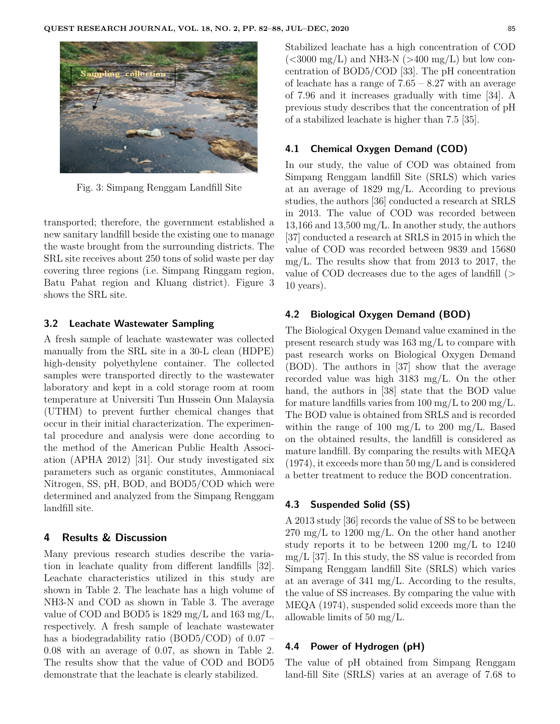

Fig. 3: Simpang Renggam Landfill Site

transported; therefore, the government established a new sanitary landfill beside the existing one to manage the waste brought from the surrounding districts. The SRL site receives about 250 tons of solid waste per day covering three regions (i.e. Simpang Ringgam region, Batu Pahat region and Kluang district). Figure 3 shows the SRL site.

### **3.2 Leachate Wastewater Sampling**

A fresh sample of leachate wastewater was collected manually from the SRL site in a 30-L clean (HDPE) high-density polyethylene container. The collected samples were transported directly to the wastewater laboratory and kept in a cold storage room at room temperature at Universiti Tun Hussein Onn Malaysia (UTHM) to prevent further chemical changes that occur in their initial characterization. The experimental procedure and analysis were done according to the method of the American Public Health Association (APHA 2012) [31]. Our study investigated six parameters such as organic constitutes, Ammoniacal Nitrogen, SS, pH, BOD, and BOD5/COD which were determined and analyzed from the Simpang Renggam landfill site.

## **4 Results & Discussion**

Many previous research studies describe the variation in leachate quality from different landfills [32]. Leachate characteristics utilized in this study are shown in Table 2. The leachate has a high volume of NH3-N and COD as shown in Table 3. The average value of COD and BOD5 is 1829 mg/L and 163 mg/L, respectively. A fresh sample of leachate wastewater has a biodegradability ratio (BOD5/COD) of 0.07 – 0.08 with an average of 0.07, as shown in Table 2. The results show that the value of COD and BOD5 demonstrate that the leachate is clearly stabilized.

Stabilized leachate has a high concentration of COD (*<*3000 mg/L) and NH3-N (*>*400 mg/L) but low concentration of BOD5/COD [33]. The pH concentration of leachate has a range of  $7.65 - 8.27$  with an average of 7.96 and it increases gradually with time [34]. A previous study describes that the concentration of pH of a stabilized leachate is higher than 7.5 [35].

### **4.1 Chemical Oxygen Demand (COD)**

In our study, the value of COD was obtained from Simpang Renggam landfill Site (SRLS) which varies at an average of 1829 mg/L. According to previous studies, the authors [36] conducted a research at SRLS in 2013. The value of COD was recorded between 13,166 and 13,500 mg/L. In another study, the authors [37] conducted a research at SRLS in 2015 in which the value of COD was recorded between 9839 and 15680 mg/L. The results show that from 2013 to 2017, the value of COD decreases due to the ages of landfill (*>* 10 years).

# **4.2 Biological Oxygen Demand (BOD)**

The Biological Oxygen Demand value examined in the present research study was 163 mg/L to compare with past research works on Biological Oxygen Demand (BOD). The authors in [37] show that the average recorded value was high 3183 mg/L. On the other hand, the authors in [38] state that the BOD value for mature landfills varies from  $100 \text{ mg/L}$  to  $200 \text{ mg/L}$ . The BOD value is obtained from SRLS and is recorded within the range of 100 mg/L to 200 mg/L. Based on the obtained results, the landfill is considered as mature landfill. By comparing the results with MEQA  $(1974)$ , it exceeds more than 50 mg/L and is considered a better treatment to reduce the BOD concentration.

#### **4.3 Suspended Solid (SS)**

A 2013 study [36] records the value of SS to be between  $270 \text{ mg/L}$  to  $1200 \text{ mg/L}$ . On the other hand another study reports it to be between 1200 mg/L to 1240  $mg/L$  [37]. In this study, the SS value is recorded from Simpang Renggam landfill Site (SRLS) which varies at an average of 341 mg/L. According to the results, the value of SS increases. By comparing the value with MEQA (1974), suspended solid exceeds more than the allowable limits of 50 mg/L.

#### **4.4 Power of Hydrogen (pH)**

The value of pH obtained from Simpang Renggam land-fill Site (SRLS) varies at an average of 7.68 to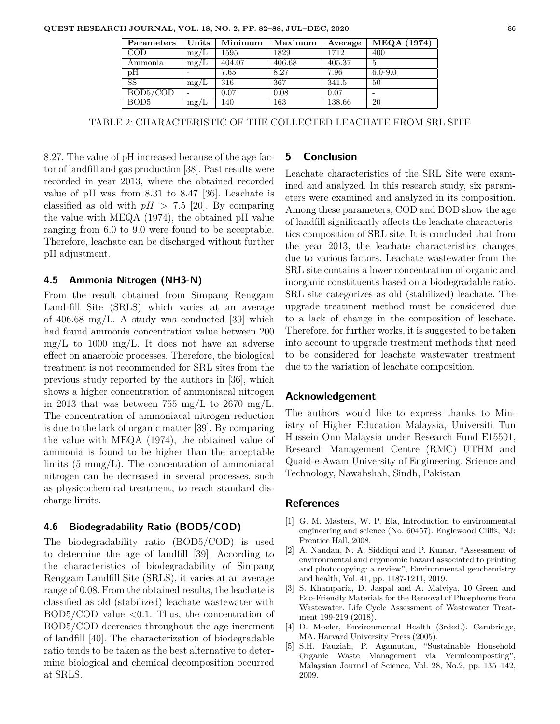| Parameters       | Units | Minimum | Maximum | Average | <b>MEQA</b> (1974) |
|------------------|-------|---------|---------|---------|--------------------|
| COD              | mg/L  | 1595    | 1829    | 1712    | 400                |
| Ammonia          | mg/L  | 404.07  | 406.68  | 405.37  |                    |
| pН               |       | 7.65    | 8.27    | 7.96    | $6.0 - 9.0$        |
| SS               | mg/L  | 316     | 367     | 341.5   | 50                 |
| BOD5/COD         |       | 0.07    | 0.08    | 0.07    |                    |
| BOD <sub>5</sub> | mg/L  | 140     | 163     | 138.66  | 20                 |

TABLE 2: CHARACTERISTIC OF THE COLLECTED LEACHATE FROM SRL SITE

8.27. The value of pH increased because of the age factor of landfill and gas production [38]. Past results were recorded in year 2013, where the obtained recorded value of pH was from 8.31 to 8.47 [36]. Leachate is classified as old with  $pH > 7.5$  [20]. By comparing the value with MEQA (1974), the obtained pH value ranging from 6.0 to 9.0 were found to be acceptable. Therefore, leachate can be discharged without further pH adjustment.

#### **4.5 Ammonia Nitrogen (NH3-N)**

From the result obtained from Simpang Renggam Land-fill Site (SRLS) which varies at an average of 406.68 mg/L. A study was conducted [39] which had found ammonia concentration value between 200  $mg/L$  to 1000 mg/L. It does not have an adverse effect on anaerobic processes. Therefore, the biological treatment is not recommended for SRL sites from the previous study reported by the authors in [36], which shows a higher concentration of ammoniacal nitrogen in 2013 that was between 755 mg/L to 2670 mg/L. The concentration of ammoniacal nitrogen reduction is due to the lack of organic matter [39]. By comparing the value with MEQA (1974), the obtained value of ammonia is found to be higher than the acceptable limits  $(5 \text{ mmg/L})$ . The concentration of ammoniacal nitrogen can be decreased in several processes, such as physicochemical treatment, to reach standard discharge limits.

## **4.6 Biodegradability Ratio (BOD5/COD)**

The biodegradability ratio (BOD5/COD) is used to determine the age of landfill [39]. According to the characteristics of biodegradability of Simpang Renggam Landfill Site (SRLS), it varies at an average range of 0.08. From the obtained results, the leachate is classified as old (stabilized) leachate wastewater with BOD5/COD value *<*0.1. Thus, the concentration of BOD5/COD decreases throughout the age increment of landfill [40]. The characterization of biodegradable ratio tends to be taken as the best alternative to determine biological and chemical decomposition occurred at SRLS.

## **5 Conclusion**

Leachate characteristics of the SRL Site were examined and analyzed. In this research study, six parameters were examined and analyzed in its composition. Among these parameters, COD and BOD show the age of landfill significantly affects the leachate characteristics composition of SRL site. It is concluded that from the year 2013, the leachate characteristics changes due to various factors. Leachate wastewater from the SRL site contains a lower concentration of organic and inorganic constituents based on a biodegradable ratio. SRL site categorizes as old (stabilized) leachate. The upgrade treatment method must be considered due to a lack of change in the composition of leachate. Therefore, for further works, it is suggested to be taken into account to upgrade treatment methods that need to be considered for leachate wastewater treatment due to the variation of leachate composition.

#### **Acknowledgement**

The authors would like to express thanks to Ministry of Higher Education Malaysia, Universiti Tun Hussein Onn Malaysia under Research Fund E15501, Research Management Centre (RMC) UTHM and Quaid-e-Awam University of Engineering, Science and Technology, Nawabshah, Sindh, Pakistan

#### **References**

- [1] G. M. Masters, W. P. Ela, Introduction to environmental engineering and science (No. 60457). Englewood Cliffs, NJ: Prentice Hall, 2008.
- [2] A. Nandan, N. A. Siddiqui and P. Kumar, "Assessment of environmental and ergonomic hazard associated to printing and photocopying: a review", Environmental geochemistry and health, Vol. 41, pp. 1187-1211, 2019.
- [3] S. Khamparia, D. Jaspal and A. Malviya, 10 Green and Eco-Friendly Materials for the Removal of Phosphorus from Wastewater. Life Cycle Assessment of Wastewater Treatment 199-219 (2018).
- [4] D. Moeler, Environmental Health (3rded.). Cambridge, MA. Harvard University Press (2005).
- [5] S.H. Fauziah, P. Agamuthu, "Sustainable Household Organic Waste Management via Vermicomposting", Malaysian Journal of Science, Vol. 28, No.2, pp. 135–142, 2009.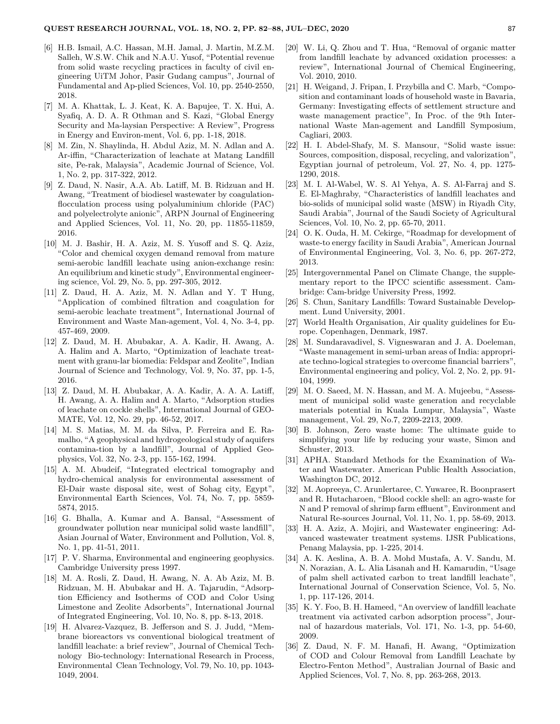- [6] H.B. Ismail, A.C. Hassan, M.H. Jamal, J. Martin, M.Z.M. Salleh, W.S.W. Chik and N.A.U. Yusof, "Potential revenue from solid waste recycling practices in faculty of civil engineering UiTM Johor, Pasir Gudang campus", Journal of Fundamental and Ap-plied Sciences, Vol. 10, pp. 2540-2550, 2018.
- [7] M. A. Khattak, L. J. Keat, K. A. Bapujee, T. X. Hui, A. Syafiq, A. D. A. R Othman and S. Kazi, "Global Energy Security and Ma-laysian Perspective: A Review", Progress in Energy and Environ-ment, Vol. 6, pp. 1-18, 2018.
- [8] M. Zin, N. Shaylinda, H. Abdul Aziz, M. N. Adlan and A. Ar-iffin, "Characterization of leachate at Matang Landfill site, Pe-rak, Malaysia", Academic Journal of Science, Vol. 1, No. 2, pp. 317-322, 2012.
- [9] Z. Daud, N. Nasir, A.A. Ab. Latiff, M. B. Ridzuan and H. Awang, "Treatment of biodiesel wastewater by coagulationflocculation process using polyaluminium chloride (PAC) and polyelectrolyte anionic", ARPN Journal of Engineering and Applied Sciences, Vol. 11, No. 20, pp. 11855-11859, 2016.
- [10] M. J. Bashir, H. A. Aziz, M. S. Yusoff and S. Q. Aziz, "Color and chemical oxygen demand removal from mature semi-aerobic landfill leachate using anion-exchange resin: An equilibrium and kinetic study", Environmental engineering science, Vol. 29, No. 5, pp. 297-305, 2012.
- [11] Z. Daud, H. A. Aziz, M. N. Adlan and Y. T Hung, "Application of combined filtration and coagulation for semi-aerobic leachate treatment", International Journal of Environment and Waste Man-agement, Vol. 4, No. 3-4, pp. 457-469, 2009.
- [12] Z. Daud, M. H. Abubakar, A. A. Kadir, H. Awang, A. A. Halim and A. Marto, "Optimization of leachate treatment with granu-lar biomedia: Feldspar and Zeolite", Indian Journal of Science and Technology, Vol. 9, No. 37, pp. 1-5, 2016.
- [13] Z. Daud, M. H. Abubakar, A. A. Kadir, A. A. A. Latiff, H. Awang, A. A. Halim and A. Marto, "Adsorption studies of leachate on cockle shells", International Journal of GEO-MATE, Vol. 12, No. 29, pp. 46-52, 2017.
- [14] M. S. Matias, M. M. da Silva, P. Ferreira and E. Ramalho, "A geophysical and hydrogeological study of aquifers contamina-tion by a landfill", Journal of Applied Geophysics, Vol. 32, No. 2-3, pp. 155-162, 1994.
- [15] A. M. Abudeif, "Integrated electrical tomography and hydro-chemical analysis for environmental assessment of El-Dair waste disposal site, west of Sohag city, Egypt", Environmental Earth Sciences, Vol. 74, No. 7, pp. 5859- 5874, 2015.
- [16] G. Bhalla, A. Kumar and A. Bansal, "Assessment of groundwater pollution near municipal solid waste landfill", Asian Journal of Water, Environment and Pollution, Vol. 8, No. 1, pp. 41-51, 2011.
- [17] P. V. Sharma, Environmental and engineering geophysics. Cambridge University press 1997.
- [18] M. A. Rosli, Z. Daud, H. Awang, N. A. Ab Aziz, M. B. Ridzuan, M. H. Abubakar and H. A. Tajarudin, "Adsorption Efficiency and Isotherms of COD and Color Using Limestone and Zeolite Adsorbents", International Journal of Integrated Engineering, Vol. 10, No. 8, pp. 8-13, 2018.
- [19] H. Alvarez-Vazquez, B. Jefferson and S. J. Judd, "Membrane bioreactors vs conventional biological treatment of landfill leachate: a brief review", Journal of Chemical Technology Bio-technology: International Research in Process, Environmental Clean Technology, Vol. 79, No. 10, pp. 1043- 1049, 2004.
- [20] W. Li, Q. Zhou and T. Hua, "Removal of organic matter from landfill leachate by advanced oxidation processes: a review", International Journal of Chemical Engineering, Vol. 2010, 2010.
- [21] H. Weigand, J. Fripan, I. Przybilla and C. Marb, "Composition and contaminant loads of household waste in Bavaria, Germany: Investigating effects of settlement structure and waste management practice", In Proc. of the 9th International Waste Man-agement and Landfill Symposium, Cagliari, 2003.
- [22] H. I. Abdel-Shafy, M. S. Mansour, "Solid waste issue: Sources, composition, disposal, recycling, and valorization", Egyptian journal of petroleum, Vol. 27, No. 4, pp. 1275- 1290, 2018.
- [23] M. I. Al-Wabel, W. S. Al Yehya, A. S. Al-Farraj and S. E. El-Maghraby, "Characteristics of landfill leachates and bio-solids of municipal solid waste (MSW) in Riyadh City, Saudi Arabia", Journal of the Saudi Society of Agricultural Sciences, Vol. 10, No. 2, pp. 65-70, 2011.
- [24] O. K. Ouda, H. M. Cekirge, "Roadmap for development of waste-to energy facility in Saudi Arabia", American Journal of Environmental Engineering, Vol. 3, No. 6, pp. 267-272, 2013.
- [25] Intergovernmental Panel on Climate Change, the supplementary report to the IPCC scientific assessment. Cambridge: Cam-bridge University Press, 1992.
- [26] S. Chun, Sanitary Landfills: Toward Sustainable Development. Lund University, 2001.
- [27] World Health Organisation, Air quality guidelines for Europe. Copenhagen, Denmark, 1987.
- [28] M. Sundaravadivel, S. Vigneswaran and J. A. Doeleman, "Waste management in semi-urban areas of India: appropriate techno-logical strategies to overcome financial barriers", Environmental engineering and policy, Vol. 2, No. 2, pp. 91- 104, 1999.
- [29] M. O. Saeed, M. N. Hassan, and M. A. Mujeebu, "Assessment of municipal solid waste generation and recyclable materials potential in Kuala Lumpur, Malaysia", Waste management, Vol. 29, No.7, 2209-2213, 2009.
- [30] B. Johnson, Zero waste home: The ultimate guide to simplifying your life by reducing your waste, Simon and Schuster, 2013.
- [31] APHA. Standard Methods for the Examination of Water and Wastewater. American Public Health Association, Washington DC, 2012.
- [32] M. Aopreeya, C. Arunlertaree, C. Yuwaree, R. Boonprasert and R. Hutacharoen, "Blood cockle shell: an agro-waste for N and P removal of shrimp farm effluent", Environment and Natural Re-sources Journal, Vol. 11, No. 1, pp. 58-69, 2013.
- [33] H. A. Aziz, A. Mojiri, and Wastewater engineering: Advanced wastewater treatment systems. IJSR Publications, Penang Malaysia, pp. 1-225, 2014.
- [34] A. K. Aeslina, A. B. A. Mohd Mustafa, A. V. Sandu, M. N. Norazian, A. L. Alia Lisanah and H. Kamarudin, "Usage of palm shell activated carbon to treat landfill leachate", International Journal of Conservation Science, Vol. 5, No. 1, pp. 117-126, 2014.
- [35] K. Y. Foo, B. H. Hameed, "An overview of landfill leachate treatment via activated carbon adsorption process", Journal of hazardous materials, Vol. 171, No. 1-3, pp. 54-60, 2009.
- [36] Z. Daud, N. F. M. Hanafi, H. Awang, "Optimization of COD and Colour Removal from Landfill Leachate by Electro-Fenton Method", Australian Journal of Basic and Applied Sciences, Vol. 7, No. 8, pp. 263-268, 2013.